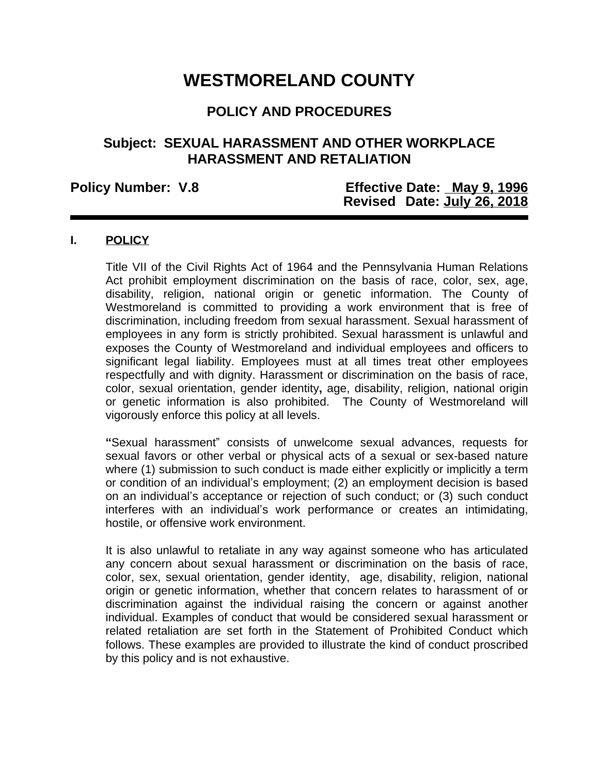# **WESTMORELAND COUNTY**

# **POLICY AND PROCEDURES**

## **Subject: SEXUAL HARASSMENT AND OTHER WORKPLACE HARASSMENT AND RETALIATION**

### **Policy Number: V.8 Effective Date: May 9, 1996 Revised Date: July 26, 2018**

#### **I. POLICY**

Title VII of the Civil Rights Act of 1964 and the Pennsylvania Human Relations Act prohibit employment discrimination on the basis of race, color, sex, age, disability, religion, national origin or genetic information. The County of Westmoreland is committed to providing a work environment that is free of discrimination, including freedom from sexual harassment. Sexual harassment of employees in any form is strictly prohibited. Sexual harassment is unlawful and exposes the County of Westmoreland and individual employees and officers to significant legal liability. Employees must at all times treat other employees respectfully and with dignity. Harassment or discrimination on the basis of race, color, sexual orientation, gender identity**,** age, disability, religion, national origin or genetic information is also prohibited. The County of Westmoreland will vigorously enforce this policy at all levels.

**"**Sexual harassment" consists of unwelcome sexual advances, requests for sexual favors or other verbal or physical acts of a sexual or sex-based nature where (1) submission to such conduct is made either explicitly or implicitly a term or condition of an individual's employment; (2) an employment decision is based on an individual's acceptance or rejection of such conduct; or (3) such conduct interferes with an individual's work performance or creates an intimidating, hostile, or offensive work environment.

It is also unlawful to retaliate in any way against someone who has articulated any concern about sexual harassment or discrimination on the basis of race, color, sex, sexual orientation, gender identity, age, disability, religion, national origin or genetic information, whether that concern relates to harassment of or discrimination against the individual raising the concern or against another individual. Examples of conduct that would be considered sexual harassment or related retaliation are set forth in the Statement of Prohibited Conduct which follows. These examples are provided to illustrate the kind of conduct proscribed by this policy and is not exhaustive.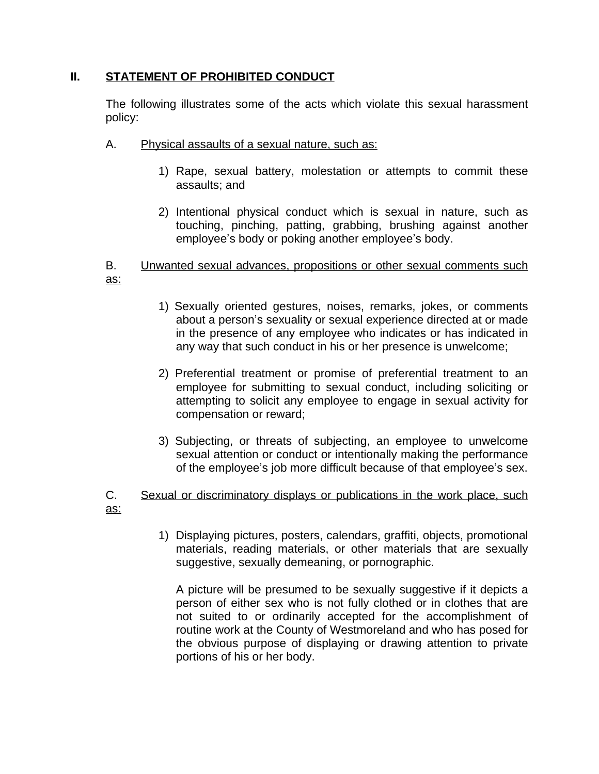#### **II. STATEMENT OF PROHIBITED CONDUCT**

The following illustrates some of the acts which violate this sexual harassment policy:

- A. Physical assaults of a sexual nature, such as:
	- 1) Rape, sexual battery, molestation or attempts to commit these assaults; and
	- 2) Intentional physical conduct which is sexual in nature, such as touching, pinching, patting, grabbing, brushing against another employee's body or poking another employee's body.

#### B. Unwanted sexual advances, propositions or other sexual comments such as:

- 1) Sexually oriented gestures, noises, remarks, jokes, or comments about a person's sexuality or sexual experience directed at or made in the presence of any employee who indicates or has indicated in any way that such conduct in his or her presence is unwelcome;
- 2) Preferential treatment or promise of preferential treatment to an employee for submitting to sexual conduct, including soliciting or attempting to solicit any employee to engage in sexual activity for compensation or reward;
- 3) Subjecting, or threats of subjecting, an employee to unwelcome sexual attention or conduct or intentionally making the performance of the employee's job more difficult because of that employee's sex.

#### C. Sexual or discriminatory displays or publications in the work place, such as:

1) Displaying pictures, posters, calendars, graffiti, objects, promotional materials, reading materials, or other materials that are sexually suggestive, sexually demeaning, or pornographic.

A picture will be presumed to be sexually suggestive if it depicts a person of either sex who is not fully clothed or in clothes that are not suited to or ordinarily accepted for the accomplishment of routine work at the County of Westmoreland and who has posed for the obvious purpose of displaying or drawing attention to private portions of his or her body.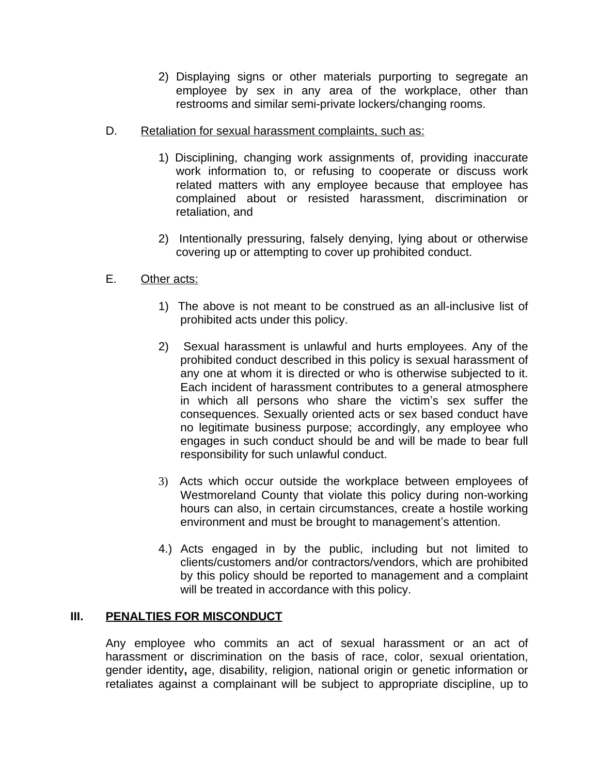- 2) Displaying signs or other materials purporting to segregate an employee by sex in any area of the workplace, other than restrooms and similar semi-private lockers/changing rooms.
- D. Retaliation for sexual harassment complaints, such as:
	- 1) Disciplining, changing work assignments of, providing inaccurate work information to, or refusing to cooperate or discuss work related matters with any employee because that employee has complained about or resisted harassment, discrimination or retaliation, and
	- 2) Intentionally pressuring, falsely denying, lying about or otherwise covering up or attempting to cover up prohibited conduct.
- E. Other acts:
	- 1) The above is not meant to be construed as an all-inclusive list of prohibited acts under this policy.
	- 2) Sexual harassment is unlawful and hurts employees. Any of the prohibited conduct described in this policy is sexual harassment of any one at whom it is directed or who is otherwise subjected to it. Each incident of harassment contributes to a general atmosphere in which all persons who share the victim's sex suffer the consequences. Sexually oriented acts or sex based conduct have no legitimate business purpose; accordingly, any employee who engages in such conduct should be and will be made to bear full responsibility for such unlawful conduct.
	- 3) Acts which occur outside the workplace between employees of Westmoreland County that violate this policy during non-working hours can also, in certain circumstances, create a hostile working environment and must be brought to management's attention.
	- 4.) Acts engaged in by the public, including but not limited to clients/customers and/or contractors/vendors, which are prohibited by this policy should be reported to management and a complaint will be treated in accordance with this policy.

#### **III. PENALTIES FOR MISCONDUCT**

Any employee who commits an act of sexual harassment or an act of harassment or discrimination on the basis of race, color, sexual orientation, gender identity**,** age, disability, religion, national origin or genetic information or retaliates against a complainant will be subject to appropriate discipline, up to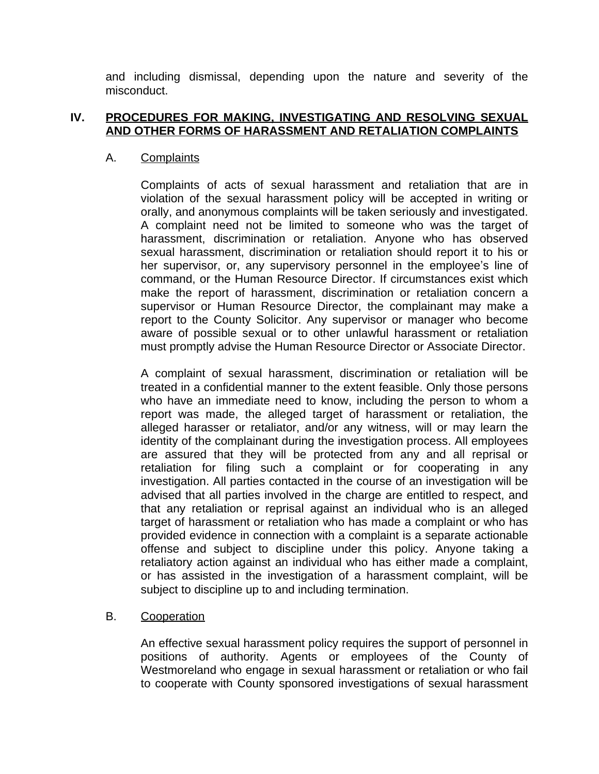and including dismissal, depending upon the nature and severity of the misconduct.

#### **IV. PROCEDURES FOR MAKING, INVESTIGATING AND RESOLVING SEXUAL AND OTHER FORMS OF HARASSMENT AND RETALIATION COMPLAINTS**

#### A. Complaints

Complaints of acts of sexual harassment and retaliation that are in violation of the sexual harassment policy will be accepted in writing or orally, and anonymous complaints will be taken seriously and investigated. A complaint need not be limited to someone who was the target of harassment, discrimination or retaliation. Anyone who has observed sexual harassment, discrimination or retaliation should report it to his or her supervisor, or, any supervisory personnel in the employee's line of command, or the Human Resource Director. If circumstances exist which make the report of harassment, discrimination or retaliation concern a supervisor or Human Resource Director, the complainant may make a report to the County Solicitor. Any supervisor or manager who become aware of possible sexual or to other unlawful harassment or retaliation must promptly advise the Human Resource Director or Associate Director.

A complaint of sexual harassment, discrimination or retaliation will be treated in a confidential manner to the extent feasible. Only those persons who have an immediate need to know, including the person to whom a report was made, the alleged target of harassment or retaliation, the alleged harasser or retaliator, and/or any witness, will or may learn the identity of the complainant during the investigation process. All employees are assured that they will be protected from any and all reprisal or retaliation for filing such a complaint or for cooperating in any investigation. All parties contacted in the course of an investigation will be advised that all parties involved in the charge are entitled to respect, and that any retaliation or reprisal against an individual who is an alleged target of harassment or retaliation who has made a complaint or who has provided evidence in connection with a complaint is a separate actionable offense and subject to discipline under this policy. Anyone taking a retaliatory action against an individual who has either made a complaint, or has assisted in the investigation of a harassment complaint, will be subject to discipline up to and including termination.

#### B. Cooperation

An effective sexual harassment policy requires the support of personnel in positions of authority. Agents or employees of the County of Westmoreland who engage in sexual harassment or retaliation or who fail to cooperate with County sponsored investigations of sexual harassment